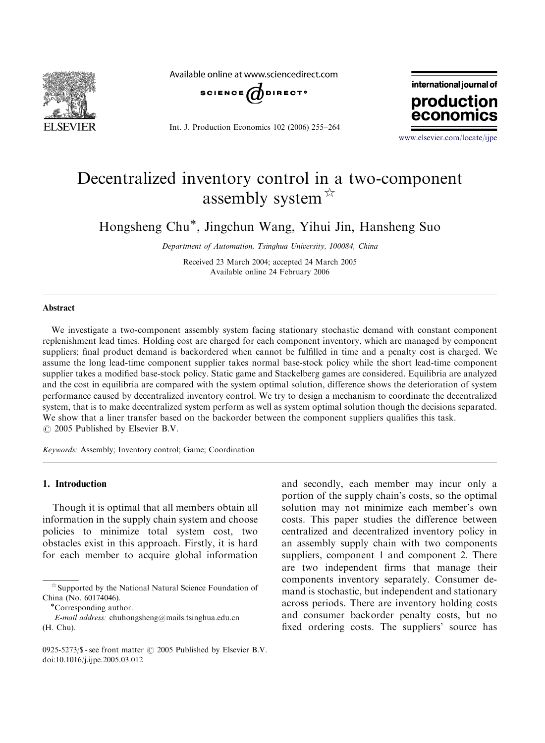

Available online at www.sciencedirect.com



Int. J. Production Economics 102 (2006) 255–264



<www.elsevier.com/locate/ijpe>

# Decentralized inventory control in a two-component assembly system  $\overrightarrow{x}$

Hongsheng Chu<sup>\*</sup>, Jingchun Wang, Yihui Jin, Hansheng Suo

Department of Automation, Tsinghua University, 100084, China

Received 23 March 2004; accepted 24 March 2005 Available online 24 February 2006

#### Abstract

We investigate a two-component assembly system facing stationary stochastic demand with constant component replenishment lead times. Holding cost are charged for each component inventory, which are managed by component suppliers; final product demand is backordered when cannot be fulfilled in time and a penalty cost is charged. We assume the long lead-time component supplier takes normal base-stock policy while the short lead-time component supplier takes a modified base-stock policy. Static game and Stackelberg games are considered. Equilibria are analyzed and the cost in equilibria are compared with the system optimal solution, difference shows the deterioration of system performance caused by decentralized inventory control. We try to design a mechanism to coordinate the decentralized system, that is to make decentralized system perform as well as system optimal solution though the decisions separated. We show that a liner transfer based on the backorder between the component suppliers qualifies this task.  $\circ$  2005 Published by Elsevier B.V.

Keywords: Assembly; Inventory control; Game; Coordination

### 1. Introduction

Though it is optimal that all members obtain all information in the supply chain system and choose policies to minimize total system cost, two obstacles exist in this approach. Firstly, it is hard for each member to acquire global information

E-mail address: chuhongsheng@mails.tsinghua.edu.cn (H. Chu).

and secondly, each member may incur only a portion of the supply chain's costs, so the optimal solution may not minimize each member's own costs. This paper studies the difference between centralized and decentralized inventory policy in an assembly supply chain with two components suppliers, component 1 and component 2. There are two independent firms that manage their components inventory separately. Consumer demand is stochastic, but independent and stationary across periods. There are inventory holding costs and consumer backorder penalty costs, but no fixed ordering costs. The suppliers' source has

 $\hat{\mathbb{X}}$  Supported by the National Natural Science Foundation of China (No. 60174046).

<sup>\*</sup>Corresponding author.

<sup>0925-5273/\$ -</sup> see front matter  $\odot$  2005 Published by Elsevier B.V. doi:10.1016/j.ijpe.2005.03.012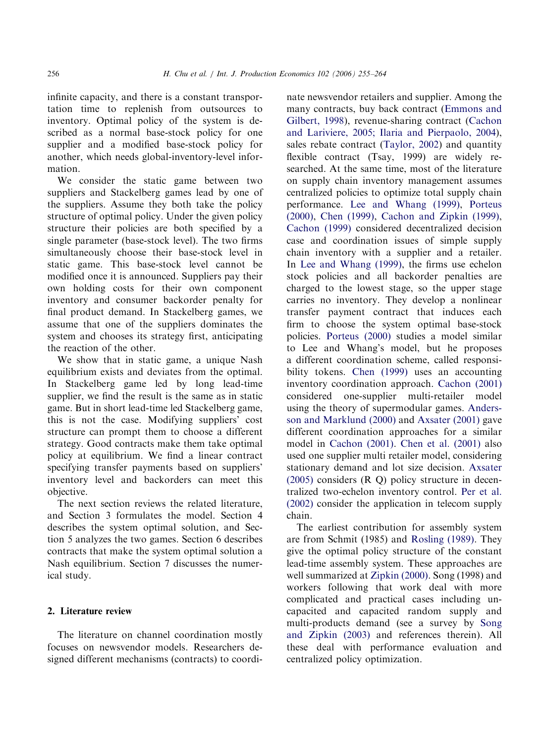infinite capacity, and there is a constant transportation time to replenish from outsources to inventory. Optimal policy of the system is described as a normal base-stock policy for one supplier and a modified base-stock policy for another, which needs global-inventory-level information.

We consider the static game between two suppliers and Stackelberg games lead by one of the suppliers. Assume they both take the policy structure of optimal policy. Under the given policy structure their policies are both specified by a single parameter (base-stock level). The two firms simultaneously choose their base-stock level in static game. This base-stock level cannot be modified once it is announced. Suppliers pay their own holding costs for their own component inventory and consumer backorder penalty for final product demand. In Stackelberg games, we assume that one of the suppliers dominates the system and chooses its strategy first, anticipating the reaction of the other.

We show that in static game, a unique Nash equilibrium exists and deviates from the optimal. In Stackelberg game led by long lead-time supplier, we find the result is the same as in static game. But in short lead-time led Stackelberg game, this is not the case. Modifying suppliers' cost structure can prompt them to choose a different strategy. Good contracts make them take optimal policy at equilibrium. We find a linear contract specifying transfer payments based on suppliers' inventory level and backorders can meet this objective.

The next section reviews the related literature, and Section 3 formulates the model. Section 4 describes the system optimal solution, and Section 5 analyzes the two games. Section 6 describes contracts that make the system optimal solution a Nash equilibrium. Section 7 discusses the numerical study.

### 2. Literature review

The literature on channel coordination mostly focuses on newsvendor models. Researchers designed different mechanisms (contracts) to coordinate newsvendor retailers and supplier. Among the many contracts, buy back contract [\(Emmons and](#page--1-0) [Gilbert, 1998\)](#page--1-0), revenue-sharing contract ([Cachon](#page--1-0) [and Lariviere, 2005; Ilaria and Pierpaolo, 2004\)](#page--1-0), sales rebate contract [\(Taylor, 2002](#page--1-0)) and quantity flexible contract (Tsay, 1999) are widely researched. At the same time, most of the literature on supply chain inventory management assumes centralized policies to optimize total supply chain performance. [Lee and Whang \(1999\),](#page--1-0) [Porteus](#page--1-0) [\(2000\)](#page--1-0), [Chen \(1999\),](#page--1-0) [Cachon and Zipkin \(1999\),](#page--1-0) [Cachon \(1999\)](#page--1-0) considered decentralized decision case and coordination issues of simple supply chain inventory with a supplier and a retailer. In [Lee and Whang \(1999\)](#page--1-0), the firms use echelon stock policies and all backorder penalties are charged to the lowest stage, so the upper stage carries no inventory. They develop a nonlinear transfer payment contract that induces each firm to choose the system optimal base-stock policies. [Porteus \(2000\)](#page--1-0) studies a model similar to Lee and Whang's model, but he proposes a different coordination scheme, called responsibility tokens. [Chen \(1999\)](#page--1-0) uses an accounting inventory coordination approach. [Cachon \(2001\)](#page--1-0) considered one-supplier multi-retailer model using the theory of supermodular games. [Anders](#page--1-0)[son and Marklund \(2000\)](#page--1-0) and [Axsater \(2001\)](#page--1-0) gave different coordination approaches for a similar model in [Cachon \(2001\)](#page--1-0). [Chen et al. \(2001\)](#page--1-0) also used one supplier multi retailer model, considering stationary demand and lot size decision. [Axsater](#page--1-0) [\(2005\)](#page--1-0) considers (R Q) policy structure in decentralized two-echelon inventory control. [Per et al.](#page--1-0) [\(2002\)](#page--1-0) consider the application in telecom supply chain.

The earliest contribution for assembly system are from Schmit (1985) and [Rosling \(1989\).](#page--1-0) They give the optimal policy structure of the constant lead-time assembly system. These approaches are well summarized at [Zipkin \(2000\).](#page--1-0) Song (1998) and workers following that work deal with more complicated and practical cases including uncapacited and capacited random supply and multi-products demand (see a survey by [Song](#page--1-0) [and Zipkin \(2003\)](#page--1-0) and references therein). All these deal with performance evaluation and centralized policy optimization.